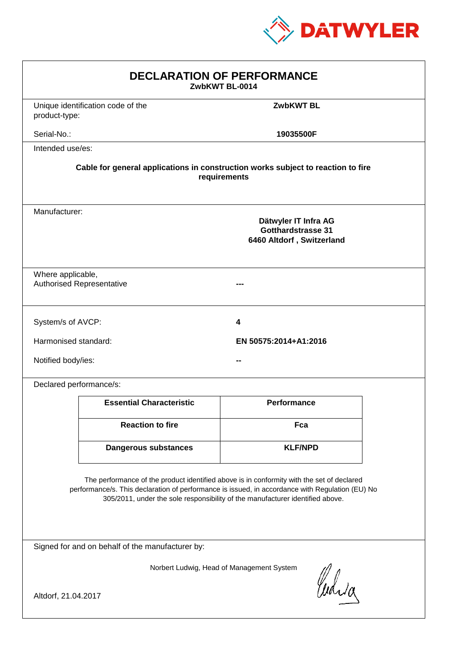

| <b>DECLARATION OF PERFORMANCE</b><br>ZwbKWT BL-0014                                                                                                                                                                                                                           |                                                                                                 |                       |  |
|-------------------------------------------------------------------------------------------------------------------------------------------------------------------------------------------------------------------------------------------------------------------------------|-------------------------------------------------------------------------------------------------|-----------------------|--|
| product-type:                                                                                                                                                                                                                                                                 | Unique identification code of the                                                               | <b>ZwbKWT BL</b>      |  |
| Serial-No.:                                                                                                                                                                                                                                                                   |                                                                                                 | 19035500F             |  |
| Intended use/es:                                                                                                                                                                                                                                                              |                                                                                                 |                       |  |
| Cable for general applications in construction works subject to reaction to fire<br>requirements                                                                                                                                                                              |                                                                                                 |                       |  |
|                                                                                                                                                                                                                                                                               | Manufacturer:<br>Dätwyler IT Infra AG<br><b>Gotthardstrasse 31</b><br>6460 Altdorf, Switzerland |                       |  |
| Where applicable,<br><b>Authorised Representative</b>                                                                                                                                                                                                                         |                                                                                                 |                       |  |
| System/s of AVCP:                                                                                                                                                                                                                                                             |                                                                                                 | 4                     |  |
| Harmonised standard:                                                                                                                                                                                                                                                          |                                                                                                 | EN 50575:2014+A1:2016 |  |
| Notified body/ies:                                                                                                                                                                                                                                                            |                                                                                                 |                       |  |
| Declared performance/s:                                                                                                                                                                                                                                                       |                                                                                                 |                       |  |
|                                                                                                                                                                                                                                                                               | <b>Essential Characteristic</b>                                                                 | <b>Performance</b>    |  |
|                                                                                                                                                                                                                                                                               | <b>Reaction to fire</b>                                                                         | Fca                   |  |
|                                                                                                                                                                                                                                                                               | <b>Dangerous substances</b>                                                                     | <b>KLF/NPD</b>        |  |
| The performance of the product identified above is in conformity with the set of declared<br>performance/s. This declaration of performance is issued, in accordance with Regulation (EU) No<br>305/2011, under the sole responsibility of the manufacturer identified above. |                                                                                                 |                       |  |
| Signed for and on behalf of the manufacturer by:                                                                                                                                                                                                                              |                                                                                                 |                       |  |
| Norbert Ludwig, Head of Management System<br>Curia                                                                                                                                                                                                                            |                                                                                                 |                       |  |
| Altdorf, 21.04.2017                                                                                                                                                                                                                                                           |                                                                                                 |                       |  |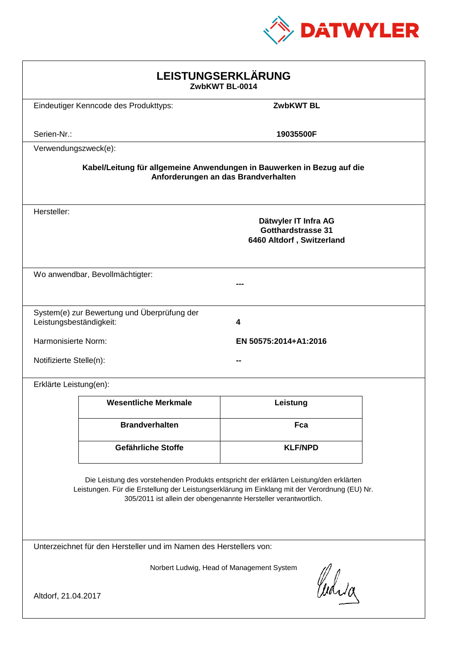

| LEISTUNGSERKLÄRUNG<br>ZwbKWT BL-0014                                                                                                                                                                                                                       |                                                                                |                  |  |
|------------------------------------------------------------------------------------------------------------------------------------------------------------------------------------------------------------------------------------------------------------|--------------------------------------------------------------------------------|------------------|--|
|                                                                                                                                                                                                                                                            | Eindeutiger Kenncode des Produkttyps:                                          | <b>ZwbKWT BL</b> |  |
| Serien-Nr.:                                                                                                                                                                                                                                                |                                                                                | 19035500F        |  |
| Verwendungszweck(e):                                                                                                                                                                                                                                       |                                                                                |                  |  |
| Kabel/Leitung für allgemeine Anwendungen in Bauwerken in Bezug auf die<br>Anforderungen an das Brandverhalten                                                                                                                                              |                                                                                |                  |  |
| Hersteller:                                                                                                                                                                                                                                                | Dätwyler IT Infra AG<br><b>Gotthardstrasse 31</b><br>6460 Altdorf, Switzerland |                  |  |
|                                                                                                                                                                                                                                                            | Wo anwendbar, Bevollmächtigter:                                                |                  |  |
| Leistungsbeständigkeit:                                                                                                                                                                                                                                    | System(e) zur Bewertung und Überprüfung der                                    | 4                |  |
| Harmonisierte Norm:<br>EN 50575:2014+A1:2016                                                                                                                                                                                                               |                                                                                |                  |  |
| Notifizierte Stelle(n):                                                                                                                                                                                                                                    |                                                                                |                  |  |
| Erklärte Leistung(en):                                                                                                                                                                                                                                     |                                                                                |                  |  |
|                                                                                                                                                                                                                                                            | <b>Wesentliche Merkmale</b>                                                    | Leistung         |  |
|                                                                                                                                                                                                                                                            | <b>Brandverhalten</b>                                                          | Fca              |  |
|                                                                                                                                                                                                                                                            | Gefährliche Stoffe                                                             | <b>KLF/NPD</b>   |  |
| Die Leistung des vorstehenden Produkts entspricht der erklärten Leistung/den erklärten<br>Leistungen. Für die Erstellung der Leistungserklärung im Einklang mit der Verordnung (EU) Nr.<br>305/2011 ist allein der obengenannte Hersteller verantwortlich. |                                                                                |                  |  |
| Unterzeichnet für den Hersteller und im Namen des Herstellers von:                                                                                                                                                                                         |                                                                                |                  |  |
| Norbert Ludwig, Head of Management System<br>Curia<br>Altdorf, 21.04.2017                                                                                                                                                                                  |                                                                                |                  |  |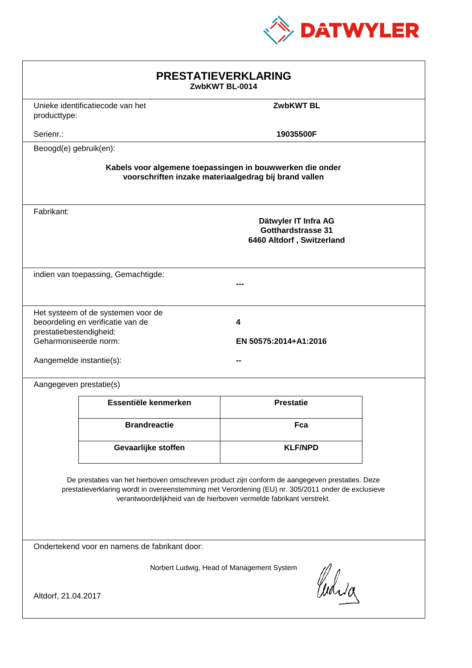

| <b>PRESTATIEVERKLARING</b><br>ZwbKWT BL-0014                                                                                                                                                                                                                                |                                                                         |                                                                                |  |
|-----------------------------------------------------------------------------------------------------------------------------------------------------------------------------------------------------------------------------------------------------------------------------|-------------------------------------------------------------------------|--------------------------------------------------------------------------------|--|
| producttype:                                                                                                                                                                                                                                                                | Unieke identificatiecode van het                                        | <b>ZwbKWT BL</b>                                                               |  |
| Serienr.:                                                                                                                                                                                                                                                                   |                                                                         | 19035500F                                                                      |  |
| Beoogd(e) gebruik(en):                                                                                                                                                                                                                                                      |                                                                         |                                                                                |  |
| Kabels voor algemene toepassingen in bouwwerken die onder<br>voorschriften inzake materiaalgedrag bij brand vallen                                                                                                                                                          |                                                                         |                                                                                |  |
| Fabrikant:                                                                                                                                                                                                                                                                  |                                                                         | Dätwyler IT Infra AG<br><b>Gotthardstrasse 31</b><br>6460 Altdorf, Switzerland |  |
|                                                                                                                                                                                                                                                                             | indien van toepassing, Gemachtigde:                                     |                                                                                |  |
| prestatiebestendigheid:<br>Geharmoniseerde norm:<br>Aangemelde instantie(s):                                                                                                                                                                                                | Het systeem of de systemen voor de<br>beoordeling en verificatie van de | 4<br>EN 50575:2014+A1:2016                                                     |  |
| Aangegeven prestatie(s)                                                                                                                                                                                                                                                     |                                                                         |                                                                                |  |
|                                                                                                                                                                                                                                                                             | Essentiële kenmerken                                                    | <b>Prestatie</b>                                                               |  |
|                                                                                                                                                                                                                                                                             | <b>Brandreactie</b>                                                     | Fca                                                                            |  |
|                                                                                                                                                                                                                                                                             | Gevaarlijke stoffen                                                     | <b>KLF/NPD</b>                                                                 |  |
| De prestaties van het hierboven omschreven product zijn conform de aangegeven prestaties. Deze<br>prestatieverklaring wordt in overeenstemming met Verordening (EU) nr. 305/2011 onder de exclusieve<br>verantwoordelijkheid van de hierboven vermelde fabrikant verstrekt. |                                                                         |                                                                                |  |
| Ondertekend voor en namens de fabrikant door:                                                                                                                                                                                                                               |                                                                         |                                                                                |  |
| Norbert Ludwig, Head of Management System<br>Curia<br>Altdorf, 21.04.2017                                                                                                                                                                                                   |                                                                         |                                                                                |  |
|                                                                                                                                                                                                                                                                             |                                                                         |                                                                                |  |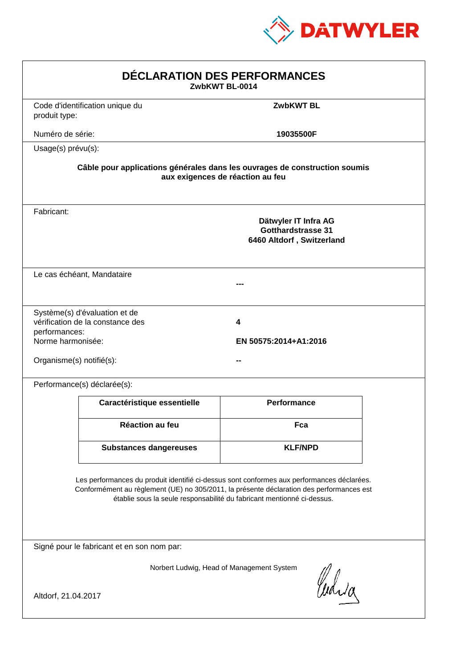

| DÉCLARATION DES PERFORMANCES<br>ZwbKWT BL-0014                 |                                                                   |                                                                                                                                                                                                                                                                  |  |
|----------------------------------------------------------------|-------------------------------------------------------------------|------------------------------------------------------------------------------------------------------------------------------------------------------------------------------------------------------------------------------------------------------------------|--|
| produit type:                                                  | Code d'identification unique du                                   | <b>ZwbKWT BL</b>                                                                                                                                                                                                                                                 |  |
| Numéro de série:                                               |                                                                   | 19035500F                                                                                                                                                                                                                                                        |  |
| Usage(s) prévu(s):                                             |                                                                   |                                                                                                                                                                                                                                                                  |  |
|                                                                |                                                                   | Câble pour applications générales dans les ouvrages de construction soumis<br>aux exigences de réaction au feu                                                                                                                                                   |  |
| Fabricant:                                                     |                                                                   | Dätwyler IT Infra AG<br><b>Gotthardstrasse 31</b><br>6460 Altdorf, Switzerland                                                                                                                                                                                   |  |
|                                                                | Le cas échéant, Mandataire                                        |                                                                                                                                                                                                                                                                  |  |
| performances:<br>Norme harmonisée:<br>Organisme(s) notifié(s): | Système(s) d'évaluation et de<br>vérification de la constance des | 4<br>EN 50575:2014+A1:2016                                                                                                                                                                                                                                       |  |
|                                                                | Performance(s) déclarée(s):                                       |                                                                                                                                                                                                                                                                  |  |
|                                                                | Caractéristique essentielle                                       | <b>Performance</b>                                                                                                                                                                                                                                               |  |
|                                                                | <b>Réaction au feu</b>                                            | Fca                                                                                                                                                                                                                                                              |  |
|                                                                | <b>Substances dangereuses</b>                                     | <b>KLF/NPD</b>                                                                                                                                                                                                                                                   |  |
|                                                                |                                                                   | Les performances du produit identifié ci-dessus sont conformes aux performances déclarées.<br>Conformément au règlement (UE) no 305/2011, la présente déclaration des performances est<br>établie sous la seule responsabilité du fabricant mentionné ci-dessus. |  |
|                                                                | Signé pour le fabricant et en son nom par:                        |                                                                                                                                                                                                                                                                  |  |
| Altdorf, 21.04.2017                                            |                                                                   | Norbert Ludwig, Head of Management System<br>Curia                                                                                                                                                                                                               |  |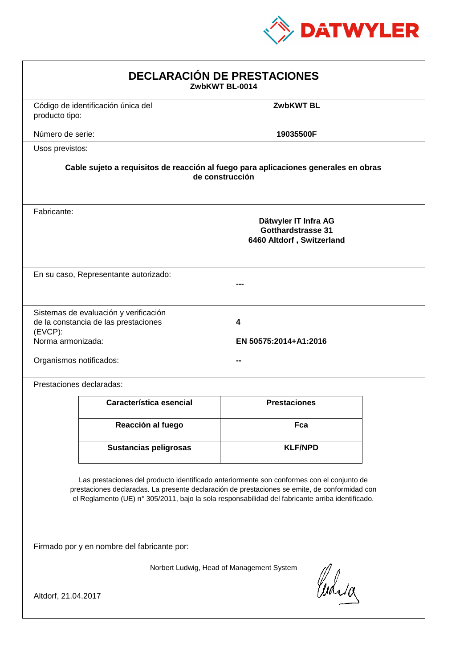

| <b>DECLARACIÓN DE PRESTACIONES</b><br>ZwbKWT BL-0014                                                                                                                                                                                                                                           |                                                                                                        |                            |  |  |  |
|------------------------------------------------------------------------------------------------------------------------------------------------------------------------------------------------------------------------------------------------------------------------------------------------|--------------------------------------------------------------------------------------------------------|----------------------------|--|--|--|
| producto tipo:                                                                                                                                                                                                                                                                                 | Código de identificación única del                                                                     | <b>ZwbKWT BL</b>           |  |  |  |
| Número de serie:                                                                                                                                                                                                                                                                               |                                                                                                        | 19035500F                  |  |  |  |
| Usos previstos:                                                                                                                                                                                                                                                                                |                                                                                                        |                            |  |  |  |
|                                                                                                                                                                                                                                                                                                | Cable sujeto a requisitos de reacción al fuego para aplicaciones generales en obras<br>de construcción |                            |  |  |  |
| Fabricante:                                                                                                                                                                                                                                                                                    | Dätwyler IT Infra AG<br><b>Gotthardstrasse 31</b><br>6460 Altdorf, Switzerland                         |                            |  |  |  |
|                                                                                                                                                                                                                                                                                                | En su caso, Representante autorizado:                                                                  |                            |  |  |  |
| (EVCP):<br>Norma armonizada:<br>Organismos notificados:                                                                                                                                                                                                                                        | Sistemas de evaluación y verificación<br>de la constancia de las prestaciones                          | 4<br>EN 50575:2014+A1:2016 |  |  |  |
|                                                                                                                                                                                                                                                                                                | Prestaciones declaradas:                                                                               |                            |  |  |  |
|                                                                                                                                                                                                                                                                                                | Característica esencial                                                                                | <b>Prestaciones</b>        |  |  |  |
|                                                                                                                                                                                                                                                                                                | Reacción al fuego                                                                                      | Fca                        |  |  |  |
|                                                                                                                                                                                                                                                                                                | <b>Sustancias peligrosas</b>                                                                           | <b>KLF/NPD</b>             |  |  |  |
| Las prestaciones del producto identificado anteriormente son conformes con el conjunto de<br>prestaciones declaradas. La presente declaración de prestaciones se emite, de conformidad con<br>el Reglamento (UE) nº 305/2011, bajo la sola responsabilidad del fabricante arriba identificado. |                                                                                                        |                            |  |  |  |
|                                                                                                                                                                                                                                                                                                | Firmado por y en nombre del fabricante por:                                                            |                            |  |  |  |
| Norbert Ludwig, Head of Management System<br>Curia<br>Altdorf, 21.04.2017                                                                                                                                                                                                                      |                                                                                                        |                            |  |  |  |